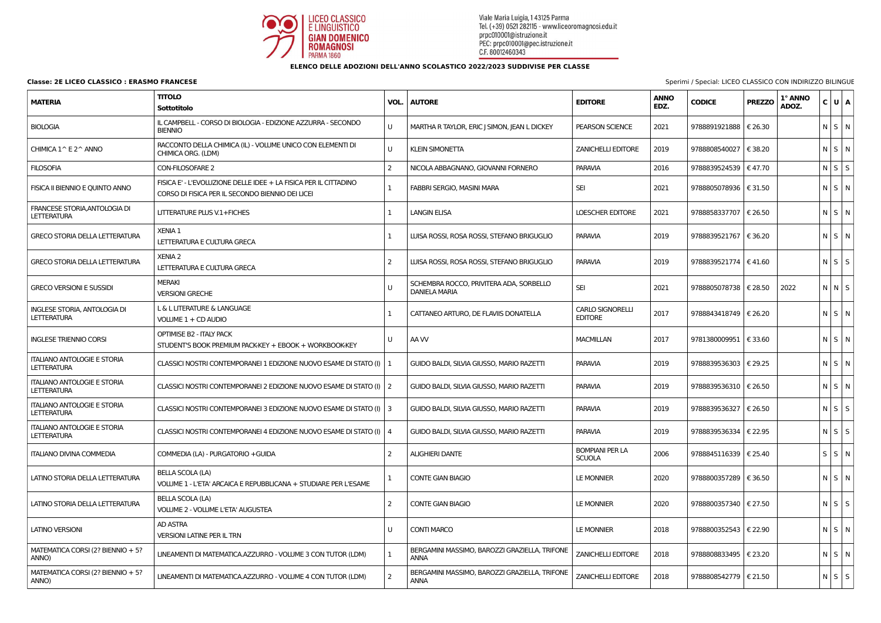

| <b>MATERIA</b>                                            | <b>TITOLO</b><br>Sottotitolo                                                                                         | VOL. | <b>AUTORE</b>                                                   | <b>EDITORE</b>                            | <b>ANNO</b><br>EDZ. | <b>CODICE</b>             | <b>PREZZO</b> | 1° ANNO<br>ADOZ. | C U A             |  |
|-----------------------------------------------------------|----------------------------------------------------------------------------------------------------------------------|------|-----------------------------------------------------------------|-------------------------------------------|---------------------|---------------------------|---------------|------------------|-------------------|--|
| <b>BIOLOGIA</b>                                           | IL CAMPBELL - CORSO DI BIOLOGIA - EDIZIONE AZZURRA - SECONDO<br><b>BIENNIO</b>                                       | U    | MARTHA R TAYLOR, ERIC J SIMON, JEAN L DICKEY                    | <b>PEARSON SCIENCE</b>                    | 2021                | 9788891921888   € 26.30   |               |                  | $N$ $S$ $N$       |  |
| CHIMICA 1^ E 2^ ANNO                                      | RACCONTO DELLA CHIMICA (IL) - VOLUME UNICO CON ELEMENTI DI<br>CHIMICA ORG. (LDM)                                     | U    | <b>KLEIN SIMONETTA</b>                                          | <b>ZANICHELLI EDITORE</b>                 | 2019                | 9788808540027   € 38.20   |               |                  | $N$ $S$ $N$       |  |
| <b>FILOSOFIA</b>                                          | <b>CON-FILOSOFARE 2</b>                                                                                              |      | NICOLA ABBAGNANO, GIOVANNI FORNERO                              | <b>PARAVIA</b>                            | 2016                | 9788839524539   € 47.70   |               |                  | $N$ $S$ $S$       |  |
| FISICA II BIENNIO E QUINTO ANNO                           | FISICA E' - L'EVOLUZIONE DELLE IDEE + LA FISICA PER IL CITTADINO<br>CORSO DI FISICA PER IL SECONDO BIENNIO DEI LICEI |      | FABBRI SERGIO, MASINI MARA                                      | SEI                                       | 2021                | 9788805078936 € 31.50     |               |                  | NSN               |  |
| FRANCESE STORIA, ANTOLOGIA DI<br>LETTERATURA              | LITTERATURE PLUS V.1+FICHES                                                                                          |      | <b>LANGIN ELISA</b>                                             | <b>LOESCHER EDITORE</b>                   | 2021                | 9788858337707   € 26.50   |               |                  | NSN               |  |
| <b>GRECO STORIA DELLA LETTERATURA</b>                     | <b>XENIA 1</b><br>LETTERATURA E CULTURA GRECA                                                                        |      | LUISA ROSSI, ROSA ROSSI, STEFANO BRIGUGLIO                      | <b>PARAVIA</b>                            | 2019                | 9788839521767             | € 36.20       |                  | N S N             |  |
| <b>GRECO STORIA DELLA LETTERATURA</b>                     | <b>XENIA 2</b><br>LETTERATURA E CULTURA GRECA                                                                        | 2    | LUISA ROSSI, ROSA ROSSI, STEFANO BRIGUGLIO                      | <b>PARAVIA</b>                            | 2019                | 9788839521774   € 41.60   |               |                  | $N$ $S$ $S$       |  |
| <b>GRECO VERSIONI E SUSSIDI</b>                           | <b>MERAKI</b><br><b>VERSIONI GRECHE</b>                                                                              |      | SCHEMBRA ROCCO, PRIVITERA ADA, SORBELLO<br><b>DANIELA MARIA</b> | <b>SEI</b>                                | 2021                | 9788805078738   € 28.50   |               | 2022             | N N S             |  |
| <b>INGLESE STORIA, ANTOLOGIA DI</b><br><b>LETTERATURA</b> | L & L LITERATURE & LANGUAGE<br>VOLUME 1 + CD AUDIO                                                                   |      | CATTANEO ARTURO, DE FLAVIIS DONATELLA                           | <b>CARLO SIGNORELLI</b><br><b>EDITORE</b> | 2017                | 9788843418749   € 26.20   |               |                  | NSN               |  |
| <b>INGLESE TRIENNIO CORSI</b>                             | <b>OPTIMISE B2 - ITALY PACK</b><br>STUDENT'S BOOK PREMIUM PACK-KEY + EBOOK + WORKBOOK-KEY                            | U    | AA W                                                            | <b>MACMILLAN</b>                          | 2017                | 9781380009951             | € 33.60       |                  | NSN               |  |
| <b>ITALIANO ANTOLOGIE E STORIA</b><br><b>LETTERATURA</b>  | CLASSICI NOSTRI CONTEMPORANEI 1 EDIZIONE NUOVO ESAME DI STATO (I)   1                                                |      | GUIDO BALDI, SILVIA GIUSSO, MARIO RAZETTI                       | <b>PARAVIA</b>                            | 2019                | 9788839536303   € 29.25   |               |                  | NSN               |  |
| <b>ITALIANO ANTOLOGIE E STORIA</b><br><b>LETTERATURA</b>  | CLASSICI NOSTRI CONTEMPORANEI 2 EDIZIONE NUOVO ESAME DI STATO (I)   2                                                |      | GUIDO BALDI, SILVIA GIUSSO, MARIO RAZETTI                       | <b>PARAVIA</b>                            | 2019                | 9788839536310   € 26.50   |               |                  | NSN               |  |
| <b>ITALIANO ANTOLOGIE E STORIA</b><br><b>LETTERATURA</b>  | CLASSICI NOSTRI CONTEMPORANEI 3 EDIZIONE NUOVO ESAME DI STATO (I)   3                                                |      | GUIDO BALDI, SILVIA GIUSSO, MARIO RAZETTI                       | <b>PARAVIA</b>                            | 2019                | 9788839536327             | € 26.50       |                  | $N$ $S$ $S$       |  |
| <b>ITALIANO ANTOLOGIE E STORIA</b><br><b>LETTERATURA</b>  | CLASSICI NOSTRI CONTEMPORANEI 4 EDIZIONE NUOVO ESAME DI STATO (I)   4                                                |      | GUIDO BALDI, SILVIA GIUSSO, MARIO RAZETTI                       | <b>PARAVIA</b>                            | 2019                | 9788839536334             | € 22.95       |                  | $N$ $S$ $S$       |  |
| <b>ITALIANO DIVINA COMMEDIA</b>                           | COMMEDIA (LA) - PURGATORIO + GUIDA                                                                                   | 2    | <b>ALIGHIERI DANTE</b>                                          | <b>BOMPIANI PER LA</b><br><b>SCUOLA</b>   | 2006                | 9788845116339   € 25.40   |               |                  | $S \mid S \mid N$ |  |
| LATINO STORIA DELLA LETTERATURA                           | <b>BELLA SCOLA (LA)</b><br>VOLUME 1 - L'ETA' ARCAICA E REPUBBLICANA + STUDIARE PER L'ESAME                           |      | <b>CONTE GIAN BIAGIO</b>                                        | <b>LE MONNIER</b>                         | 2020                | 9788800357289   € 36.50   |               |                  | $N$ $S$ $N$       |  |
| LATINO STORIA DELLA LETTERATURA                           | <b>BELLA SCOLA (LA)</b><br>VOLUME 2 - VOLUME L'ETA' AUGUSTEA                                                         |      | <b>CONTE GIAN BIAGIO</b>                                        | <b>LE MONNIER</b>                         | 2020                | 9788800357340   € 27.50   |               |                  | $N$ $S$ $S$       |  |
| <b>LATINO VERSIONI</b>                                    | <b>AD ASTRA</b><br><b>VERSIONI LATINE PER IL TRN</b>                                                                 | U    | <b>CONTI MARCO</b>                                              | <b>LE MONNIER</b>                         | 2018                | 9788800352543 $\in$ 22.90 |               |                  | $N$ $S$ $N$       |  |
| MATEMATICA CORSI (2? BIENNIO + 5?<br>ANNO)                | LINEAMENTI DI MATEMATICA.AZZURRO - VOLUME 3 CON TUTOR (LDM)                                                          |      | BERGAMINI MASSIMO, BAROZZI GRAZIELLA, TRIFONE<br><b>ANNA</b>    | <b>ZANICHELLI EDITORE</b>                 | 2018                | 9788808833495   € 23.20   |               |                  | NSN               |  |
| MATEMATICA CORSI (2? BIENNIO + 5?<br>ANNO)                | LINEAMENTI DI MATEMATICA.AZZURRO - VOLUME 4 CON TUTOR (LDM)                                                          |      | BERGAMINI MASSIMO, BAROZZI GRAZIELLA, TRIFONE<br><b>ANNA</b>    | <b>ZANICHELLI EDITORE</b>                 | 2018                | 9788808542779 $\in$ 21.50 |               |                  | $N$ $S$ $S$       |  |

**Classe: 2E LICEO CLASSICO : ERASMO FRANCESE** Sperimi / Special: LICEO CLASSICO CON INDIRIZZO BILINGUE

## **ELENCO DELLE ADOZIONI DELL'ANNO SCOLASTICO 2022/2023 SUDDIVISE PER CLASSE**